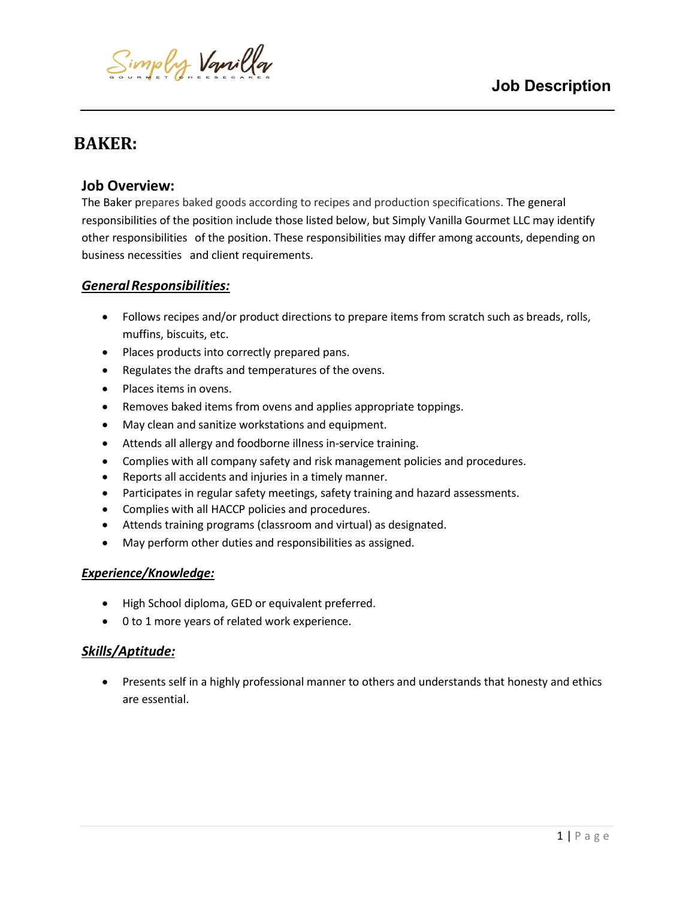

# BAKER:

ı

# Job Overview:

The Baker prepares baked goods according to recipes and production specifications. The general responsibilities of the position include those listed below, but Simply Vanilla Gourmet LLC may identify other responsibilities of the position. These responsibilities may differ among accounts, depending on business necessities and client requirements.

## General Responsibilities:

- Follows recipes and/or product directions to prepare items from scratch such as breads, rolls, muffins, biscuits, etc.
- Places products into correctly prepared pans.
- Regulates the drafts and temperatures of the ovens.
- Places items in ovens.
- Removes baked items from ovens and applies appropriate toppings.
- May clean and sanitize workstations and equipment.
- Attends all allergy and foodborne illness in-service training.
- Complies with all company safety and risk management policies and procedures.
- Reports all accidents and injuries in a timely manner.
- Participates in regular safety meetings, safety training and hazard assessments.
- Complies with all HACCP policies and procedures.
- Attends training programs (classroom and virtual) as designated.
- May perform other duties and responsibilities as assigned.

## Experience/Knowledge:

- High School diploma, GED or equivalent preferred.
- 0 to 1 more years of related work experience.

## Skills/Aptitude:

 Presents self in a highly professional manner to others and understands that honesty and ethics are essential.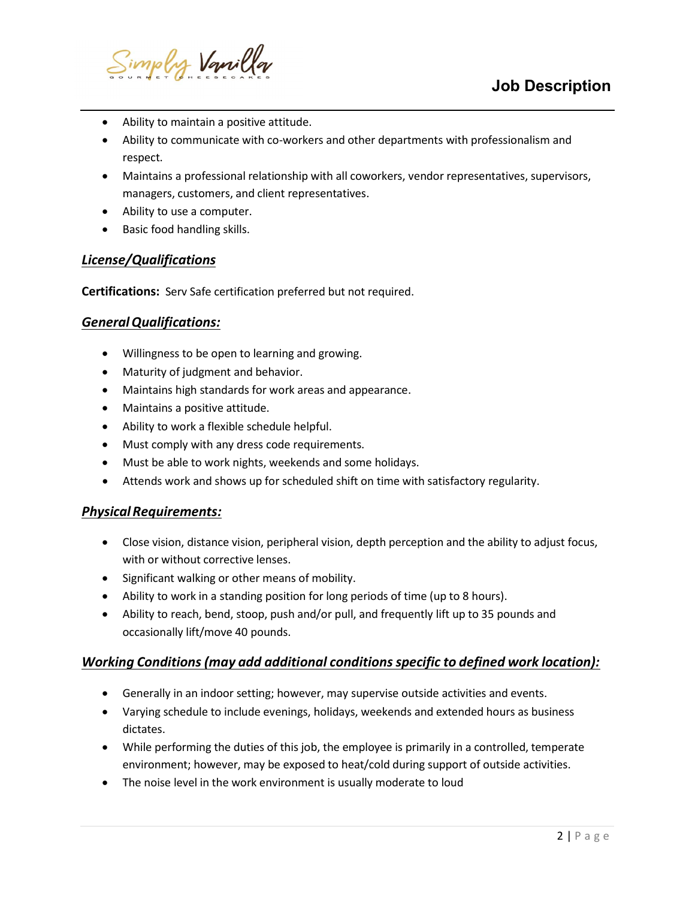

- Ability to maintain a positive attitude.
- Ability to communicate with co-workers and other departments with professionalism and respect.
- Maintains a professional relationship with all coworkers, vendor representatives, supervisors, managers, customers, and client representatives.
- Ability to use a computer.
- Basic food handling skills.

#### License/Qualifications

ı

Certifications: Serv Safe certification preferred but not required.

#### General Qualifications:

- Willingness to be open to learning and growing.
- Maturity of judgment and behavior.
- Maintains high standards for work areas and appearance.
- Maintains a positive attitude.
- Ability to work a flexible schedule helpful.
- Must comply with any dress code requirements.
- Must be able to work nights, weekends and some holidays.
- Attends work and shows up for scheduled shift on time with satisfactory regularity.

#### Physical Requirements:

- Close vision, distance vision, peripheral vision, depth perception and the ability to adjust focus, with or without corrective lenses.
- Significant walking or other means of mobility.
- Ability to work in a standing position for long periods of time (up to 8 hours).
- Ability to reach, bend, stoop, push and/or pull, and frequently lift up to 35 pounds and occasionally lift/move 40 pounds.

#### Working Conditions (may add additional conditions specific to defined work location):

- Generally in an indoor setting; however, may supervise outside activities and events.
- Varying schedule to include evenings, holidays, weekends and extended hours as business dictates.
- While performing the duties of this job, the employee is primarily in a controlled, temperate environment; however, may be exposed to heat/cold during support of outside activities.
- The noise level in the work environment is usually moderate to loud